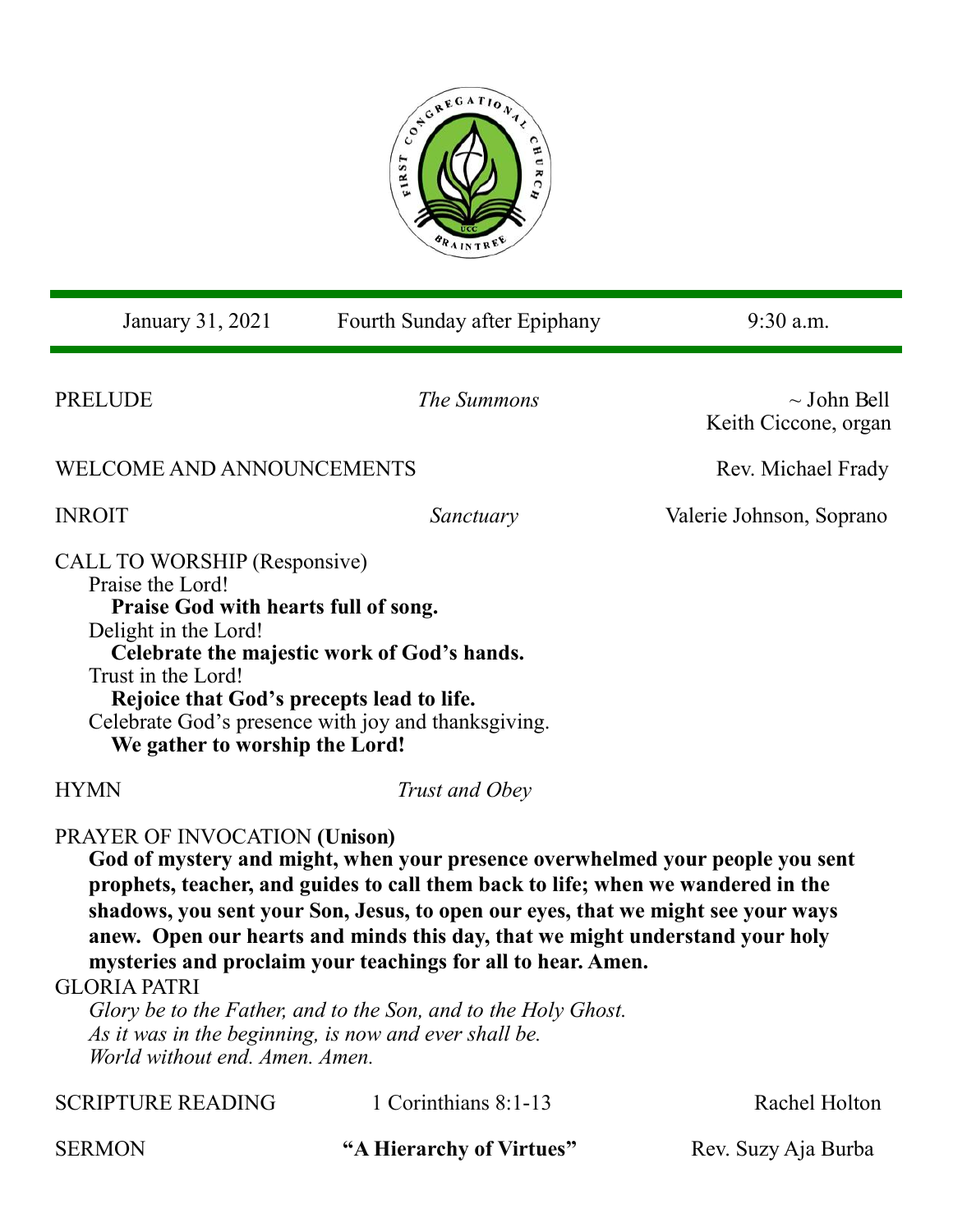

| January 31, 2021                                                                                                                                                                                                                                                                                                                                                                                                                                                                                                                                                                                                           | Fourth Sunday after Epiphany | $9:30$ a.m.                              |
|----------------------------------------------------------------------------------------------------------------------------------------------------------------------------------------------------------------------------------------------------------------------------------------------------------------------------------------------------------------------------------------------------------------------------------------------------------------------------------------------------------------------------------------------------------------------------------------------------------------------------|------------------------------|------------------------------------------|
| <b>PRELUDE</b>                                                                                                                                                                                                                                                                                                                                                                                                                                                                                                                                                                                                             | The Summons                  | $\sim$ John Bell<br>Keith Ciccone, organ |
| WELCOME AND ANNOUNCEMENTS                                                                                                                                                                                                                                                                                                                                                                                                                                                                                                                                                                                                  |                              | Rev. Michael Frady                       |
| <b>INROIT</b>                                                                                                                                                                                                                                                                                                                                                                                                                                                                                                                                                                                                              | Sanctuary                    | Valerie Johnson, Soprano                 |
| CALL TO WORSHIP (Responsive)<br>Praise the Lord!<br>Praise God with hearts full of song.<br>Delight in the Lord!<br>Celebrate the majestic work of God's hands.<br>Trust in the Lord!<br>Rejoice that God's precepts lead to life.<br>Celebrate God's presence with joy and thanksgiving.<br>We gather to worship the Lord!                                                                                                                                                                                                                                                                                                |                              |                                          |
| <b>HYMN</b>                                                                                                                                                                                                                                                                                                                                                                                                                                                                                                                                                                                                                | Trust and Obey               |                                          |
| PRAYER OF INVOCATION (Unison)<br>God of mystery and might, when your presence overwhelmed your people you sent<br>prophets, teacher, and guides to call them back to life; when we wandered in the<br>shadows, you sent your Son, Jesus, to open our eyes, that we might see your ways<br>anew. Open our hearts and minds this day, that we might understand your holy<br>mysteries and proclaim your teachings for all to hear. Amen.<br><b>GLORIA PATRI</b><br>Glory be to the Father, and to the Son, and to the Holy Ghost.<br>As it was in the beginning, is now and ever shall be.<br>World without end. Amen. Amen. |                              |                                          |
| <b>SCRIPTURE READING</b>                                                                                                                                                                                                                                                                                                                                                                                                                                                                                                                                                                                                   | 1 Corinthians 8:1-13         | Rachel Holton                            |

SERMON "A Hierarchy of Virtues" Rev. Suzy Aja Burba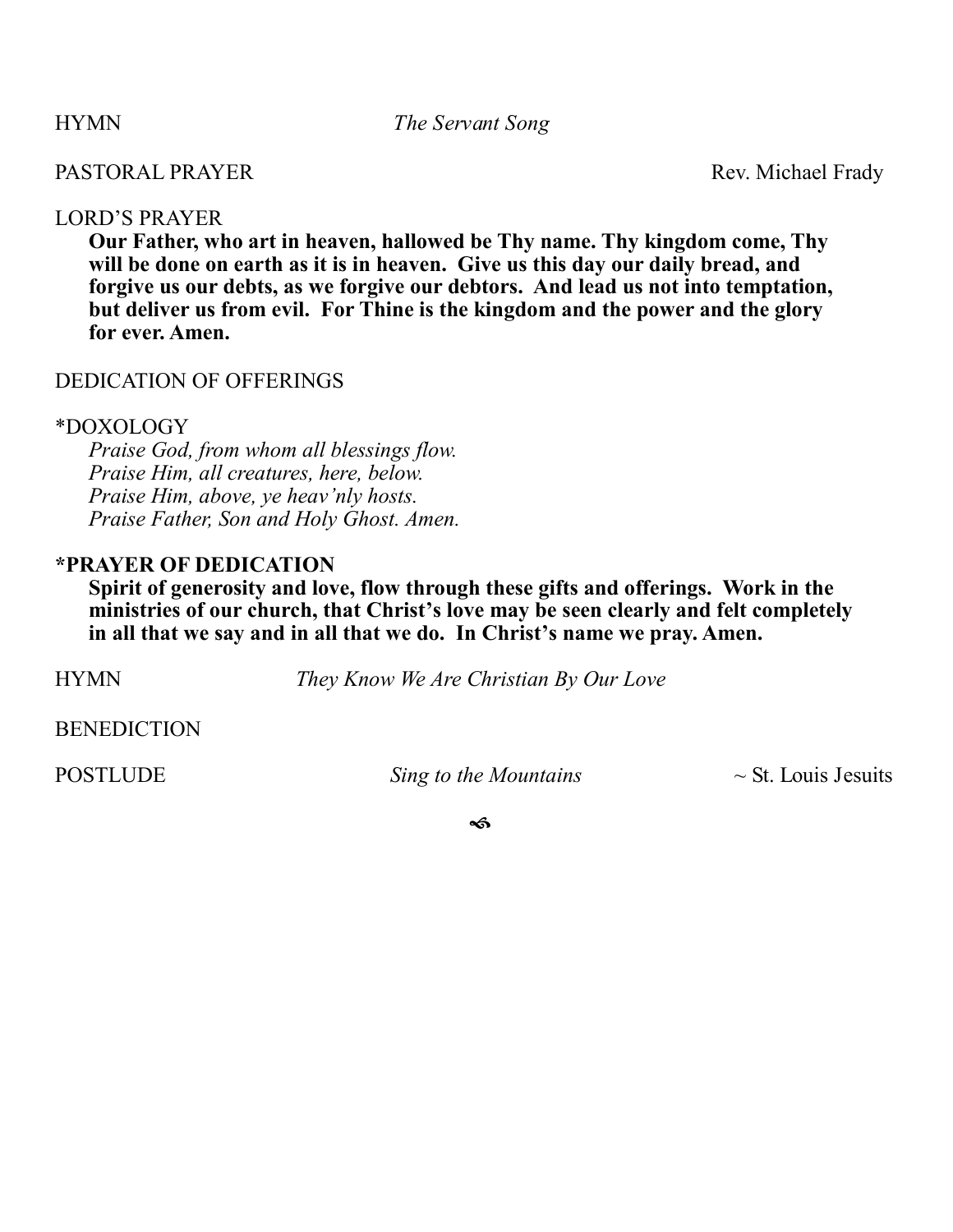HYMN *The Servant Song*

# PASTORAL PRAYER Rev. Michael Frady

## LORD'S PRAYER

**Our Father, who art in heaven, hallowed be Thy name. Thy kingdom come, Thy will be done on earth as it is in heaven. Give us this day our daily bread, and forgive us our debts, as we forgive our debtors. And lead us not into temptation, but deliver us from evil. For Thine is the kingdom and the power and the glory for ever. Amen.**

## DEDICATION OF OFFERINGS

## \*DOXOLOGY

*Praise God, from whom all blessings flow. Praise Him, all creatures, here, below. Praise Him, above, ye heav'nly hosts. Praise Father, Son and Holy Ghost. Amen.*

## **\*PRAYER OF DEDICATION**

**Spirit of generosity and love, flow through these gifts and offerings. Work in the ministries of our church, that Christ's love may be seen clearly and felt completely in all that we say and in all that we do. In Christ's name we pray. Amen.**

HYMN *They Know We Are Christian By Our Love*

**BENEDICTION** 

POSTLUDE *Sing to the Mountains ~* St. Louis Jesuits

ีช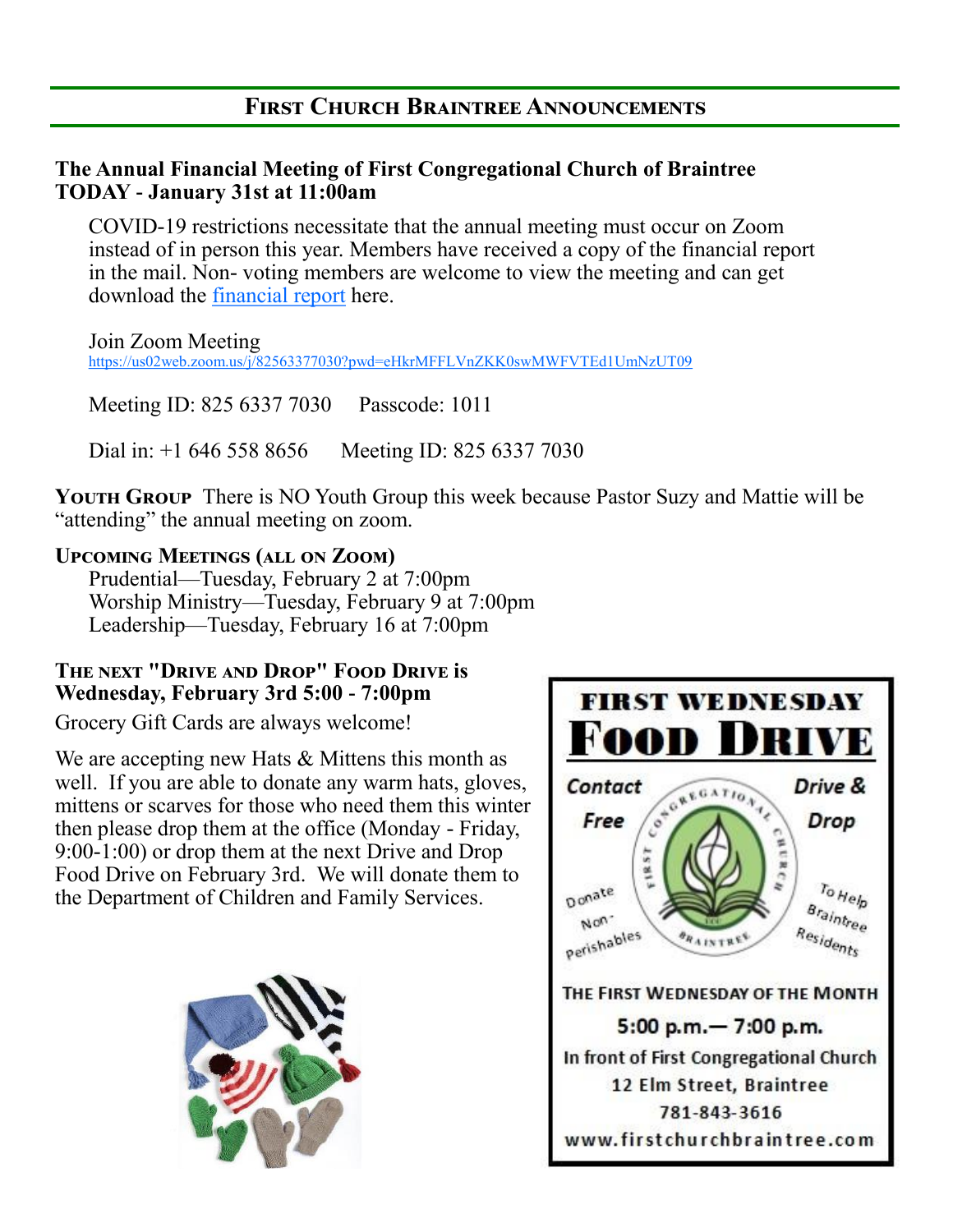# **First Church Braintree Announcements**

## **The Annual Financial Meeting of First Congregational Church of Braintree TODAY - January 31st at 11:00am**

COVID-19 restrictions necessitate that the annual meeting must occur on Zoom instead of in person this year. Members have received a copy of the financial report in the mail. Non- voting members are welcome to view the meeting and can get download the [financial report](file:///C:/Users/fccbr/Documents/Annual Reports/Annual Report 2020/2020 Annual Report for WEB.pdf) here.

Join Zoom Meeting <https://us02web.zoom.us/j/82563377030?pwd=eHkrMFFLVnZKK0swMWFVTEd1UmNzUT09>

Meeting ID: 825 6337 7030 Passcode: 1011

Dial in: +1 646 558 8656 Meeting ID: 825 6337 7030

**YOUTH GROUP** There is NO Youth Group this week because Pastor Suzy and Mattie will be "attending" the annual meeting on zoom.

# **Upcoming Meetings (all on Zoom)**

Prudential—Tuesday, February 2 at 7:00pm Worship Ministry—Tuesday, February 9 at 7:00pm Leadership—Tuesday, February 16 at 7:00pm

## **The next "Drive and Drop" Food Drive is Wednesday, February 3rd 5:00 - 7:00pm**

Grocery Gift Cards are always welcome!

We are accepting new Hats & Mittens this month as well. If you are able to donate any warm hats, gloves, mittens or scarves for those who need them this winter then please drop them at the office (Monday - Friday, 9:00-1:00) or drop them at the next Drive and Drop Food Drive on February 3rd. We will donate them to the Department of Children and Family Services.